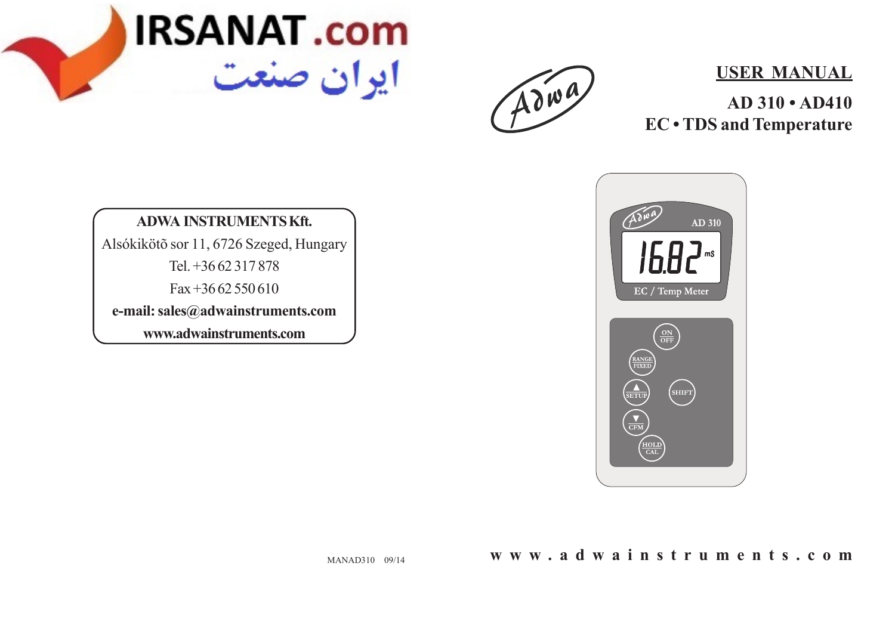

Adwa

### **USER MANUAL**

**AD 310 • AD410 EC • TDS and Temperature**

**ADWA INSTRUMENTS Kft.** Alsókikötõ sor 11, 6726 Szeged, Hungary Tel. +36 62 317 878 Fax +36 62 550 610 **e-mail: sales@adwainstruments.com www.adwainstruments.com**



**www.adwainstruments.com**

MANAD310 09/14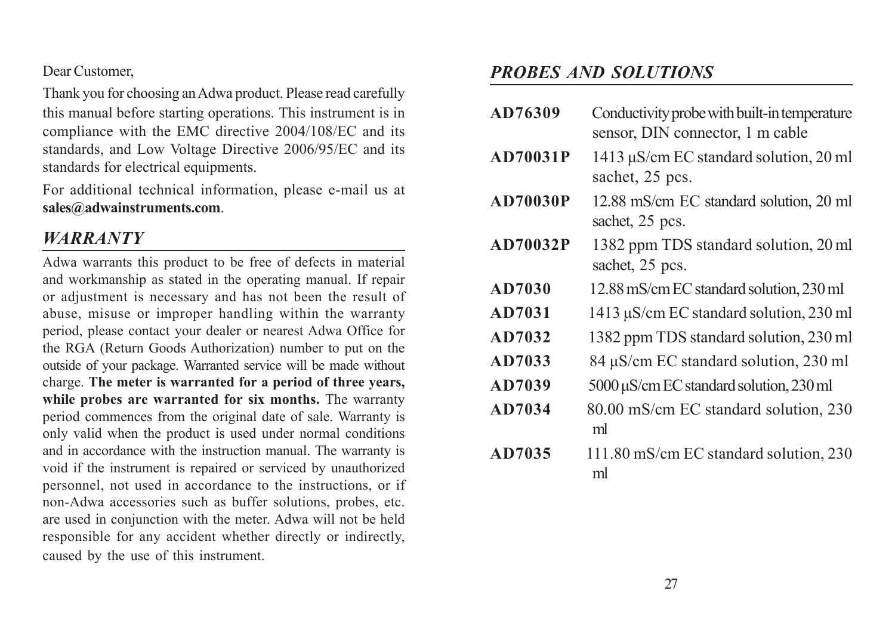Dear Customer,

Thank you for choosing an Adwa product. Please read carefully this manual before starting operations. This instrument is in compliance with the EMC directive 2004/108/EC and its standards, and Low Voltage Directive 2006/95/EC and its standards for electrical equipments.

For additional technical information, please e-mail us at **sales@adwainstruments.com**.

## *WARRANTY*

Adwa warrants this product to be free of defects in material and workmanship as stated in the operating manual. If repair or adjustment is necessary and has not been the result of abuse, misuse or improper handling within the warranty period, please contact your dealer or nearest Adwa Office for the RGA (Return Goods Authorization) number to put on the outside of your package. Warranted service will be made without charge. **The meter is warranted for a period of three years, while probes are warranted for six months.** The warranty period commences from the original date of sale. Warranty is only valid when the product is used under normal conditions and in accordance with the instruction manual. The warranty is void if the instrument is repaired or serviced by unauthorized personnel, not used in accordance to the instructions, or if non-Adwa accessories such as buffer solutions, probes, etc. are used in conjunction with the meter. Adwa will not be held responsible for any accident whether directly or indirectly, caused by the use of this instrument.

### *PROBES AND SOLUTIONS*

- **AD76309** Conductivity probe with built-in temperature sensor, DIN connector, 1 m cable
- **AD70031P** 1413 μS/cm EC standard solution, 20 ml sachet, 25 pcs.
- **AD70030P** 12.88 mS/cm EC standard solution, 20 ml sachet, 25 pcs.
- **AD70032P** 1382 ppm TDS standard solution, 20 ml sachet, 25 pcs.
- **AD7030** 12.88 mS/cm EC standard solution, 230 ml
- **AD7031** 1413 μS/cm ECstandard solution, 230 ml
- **AD7032** 1382 ppm TDS standard solution, 230 ml
- **AD7033** 84 μS/cm EC standard solution, 230 ml
- **AD7039** 5000 μS/cm EC standard solution, 230 ml
- **AD7034** 80.00 mS/cm EC standard solution, 230 ml
- **AD7035** 111.80 mS/cm EC standard solution, 230 ml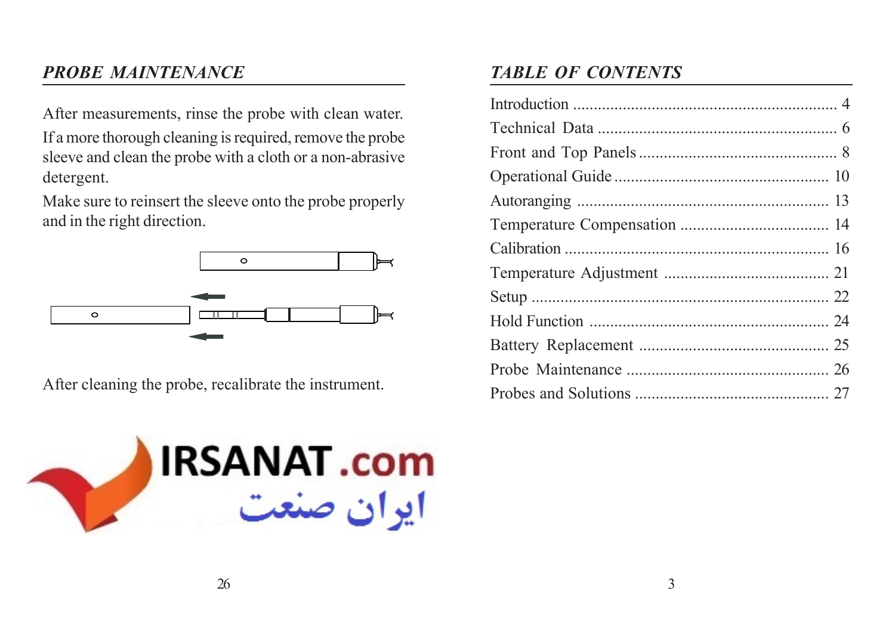## *PROBE MAINTENANCE*

After measurements, rinse the probe with clean water.

If a more thorough cleaning is required, remove the probe sleeve and clean the probe with a cloth or a non-abrasive detergent.

Make sure to reinsert the sleeve onto the probe properly and in the right direction.



After cleaning the probe, recalibrate the instrument.



# *TABLE OF CONTENTS*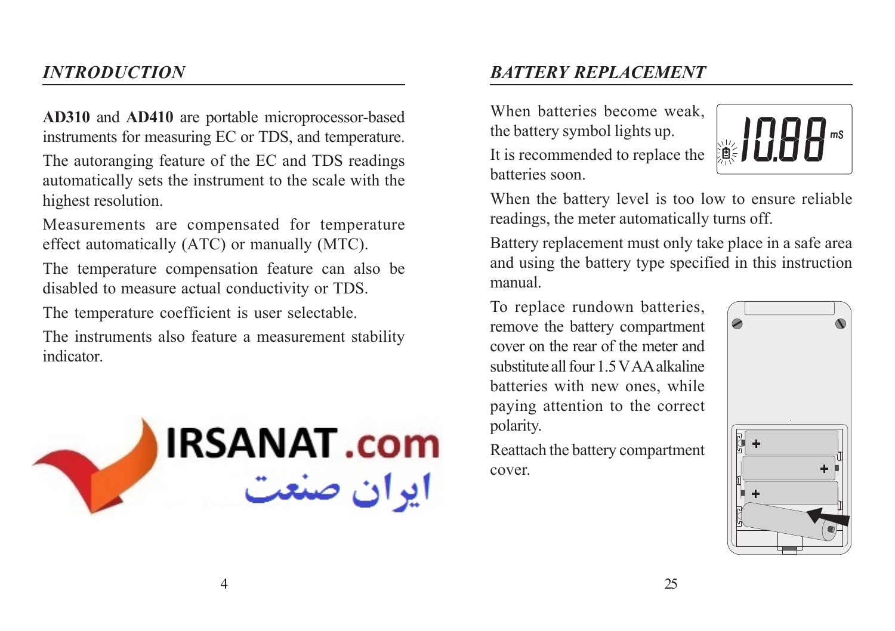## *INTRODUCTION*

**AD310** and **AD410** are portable microprocessor-based instruments for measuring EC or TDS, and temperature.

The autoranging feature of the EC and TDS readings automatically sets the instrument to the scale with the highest resolution.

Measurements are compensated for temperature effect automatically (ATC) or manually (MTC).

The temperature compensation feature can also be disabled to measure actual conductivity or TDS.

The temperature coefficient is user selectable.

The instruments also feature a measurement stability indicator.



## *BATTERY REPLACEMENT*

When batteries become weak the battery symbol lights up. It is recommended to replace the batteries soon.



When the battery level is too low to ensure reliable readings, the meter automatically turns off.

Battery replacement must only take place in a safe area and using the battery type specified in this instruction manual.

To replace rundown batteries, remove the battery compartment cover on the rear of the meter and substitute all four 1.5 V AA alkaline batteries with new ones, while paying attention to the correct polarity.

Reattach the battery compartment cover.

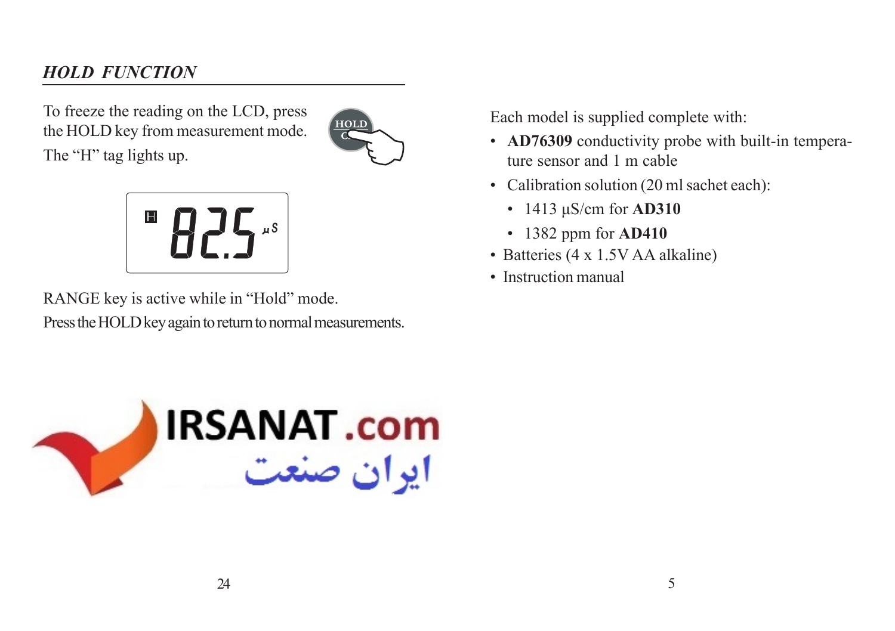## *HOLD FUNCTION*

To freeze the reading on the LCD, press the HOLD key from measurement mode.







RANGE key is active while in "Hold" mode. Press the HOLD key again to return to normal measurements. Each model is supplied complete with:

- **AD76309** conductivity probe with built-in temperature sensor and 1 m cable
- Calibration solution (20 ml sachet each):
	- 1413 μS/cm for **AD310**
	- 1382 ppm for **AD410**
- Batteries (4 x 1.5V AA alkaline)
- Instruction manual

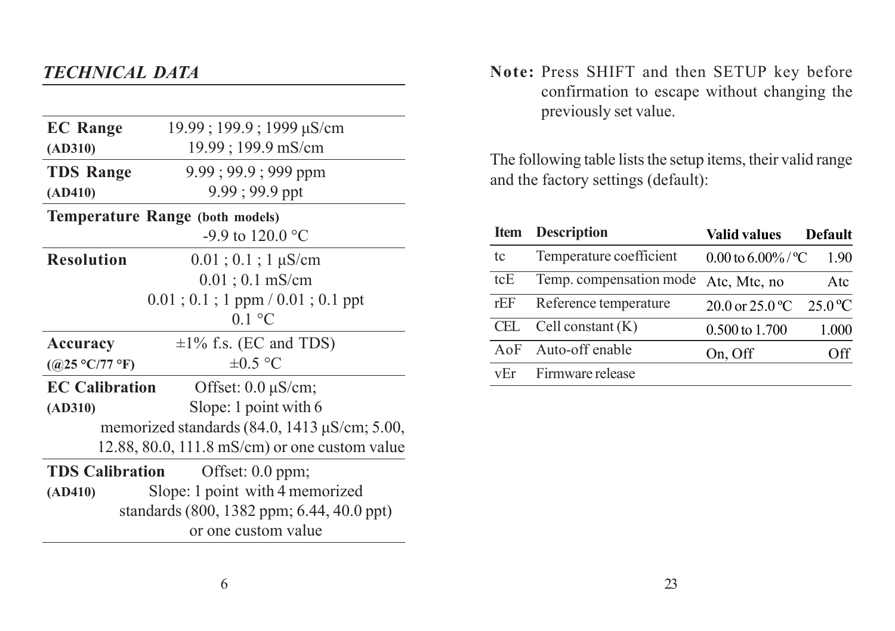## *TECHNICAL DATA*

| <b>EC</b> Range                                           | $19.99$ ; 199.9; 1999 $\mu$ S/cm            |  |  |  |
|-----------------------------------------------------------|---------------------------------------------|--|--|--|
| (AD310)                                                   | 19.99; 199.9 mS/cm                          |  |  |  |
| <b>TDS Range</b>                                          | $9.99$ ; $99.9$ ; $999$ ppm                 |  |  |  |
| (AD410)                                                   | $9.99; 99.9$ ppt                            |  |  |  |
| <b>Temperature Range (both models)</b>                    |                                             |  |  |  |
|                                                           | -9.9 to 120.0 °C                            |  |  |  |
| <b>Resolution</b>                                         | $0.01$ ; $0.1$ ; $1 \mu$ S/cm               |  |  |  |
|                                                           | $0.01$ ; $0.1$ mS/cm                        |  |  |  |
|                                                           | $0.01$ ; $0.1$ ; 1 ppm / $0.01$ ; $0.1$ ppt |  |  |  |
|                                                           | $01^{\circ}$ C                              |  |  |  |
| Accuracy                                                  | $\pm 1\%$ f.s. (EC and TDS)                 |  |  |  |
| ((a)25 °C/77 °F)                                          | $\pm 0.5$ °C                                |  |  |  |
| <b>EC Calibration</b>                                     | Offset: $0.0 \mu S/cm$ ;                    |  |  |  |
| (AD310)                                                   | Slope: 1 point with 6                       |  |  |  |
| memorized standards $(84.0, 1413 \,\mu\text{S/cm}; 5.00,$ |                                             |  |  |  |
| 12.88, 80.0, 111.8 mS/cm) or one custom value             |                                             |  |  |  |
| <b>TDS Calibration</b>                                    | Offset: $0.0$ ppm;                          |  |  |  |
| (AD410)                                                   | Slope: 1 point with 4 memorized             |  |  |  |
| standards (800, 1382 ppm; 6.44, 40.0 ppt)                 |                                             |  |  |  |
|                                                           | or one custom value                         |  |  |  |
|                                                           |                                             |  |  |  |

**Note:** Press SHIFT and then SETUP key before confirmation to escape without changing the previously set value.

The following table lists the setup items, their valid range and the factory settings (default):

| <b>Item</b> | <b>Description</b>      | Valid values                | <b>Default</b> |
|-------------|-------------------------|-----------------------------|----------------|
| tc          | Temperature coefficient | 0.00 to 6.00%/ $^{\circ}$ C | 1.90           |
| tcE         | Temp. compensation mode | Atc, Mtc, no                | Atc            |
| rEF         | Reference temperature   | $20.0$ or $25.0$ °C         | $-25.0 °C$     |
| CEL.        | Cell constant $(K)$     | $0.500 \text{ to } 1.700$   | 1.000          |
| $A \circ F$ | Auto-off enable         | On, Off                     | Off            |
| vEr         | Firmware release        |                             |                |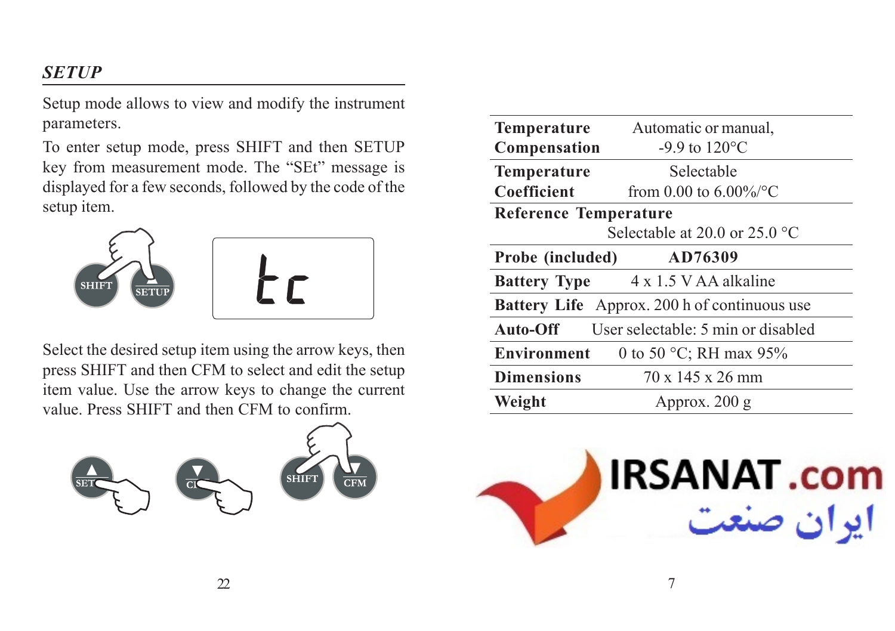## *SETUP*

Setup mode allows to view and modify the instrument parameters.

To enter setup mode, press SHIFT and then SETUP key from measurement mode. The "SEt" message is displayed for a few seconds, followed by the code of the setup item.



Select the desired setup item using the arrow keys, then press SHIFT and then CFM to select and edit the setup item value. Use the arrow keys to change the current value. Press SHIFT and then CFM to confirm.



| <b>Temperature</b>                                  | Automatic or manual,                      |  |
|-----------------------------------------------------|-------------------------------------------|--|
| Compensation                                        | -9.9 to $120^{\circ}$ C                   |  |
| <b>Temperature</b>                                  | Selectable                                |  |
| Coefficient                                         | from 0.00 to $6.00\%$ /°C                 |  |
| <b>Reference Temperature</b>                        |                                           |  |
| Selectable at 20.0 or $25.0$ °C                     |                                           |  |
| AD76309<br>Probe (included)                         |                                           |  |
|                                                     | <b>Battery Type</b> 4 x 1.5 V AA alkaline |  |
| <b>Battery Life</b> Approx. 200 h of continuous use |                                           |  |
| <b>Auto-Off</b> User selectable: 5 min or disabled  |                                           |  |
| <b>Environment</b><br>0 to 50 °C; RH max 95%        |                                           |  |
| <b>Dimensions</b><br>$70 \times 145 \times 26$ mm   |                                           |  |
| Weight                                              | Approx. 200 g                             |  |

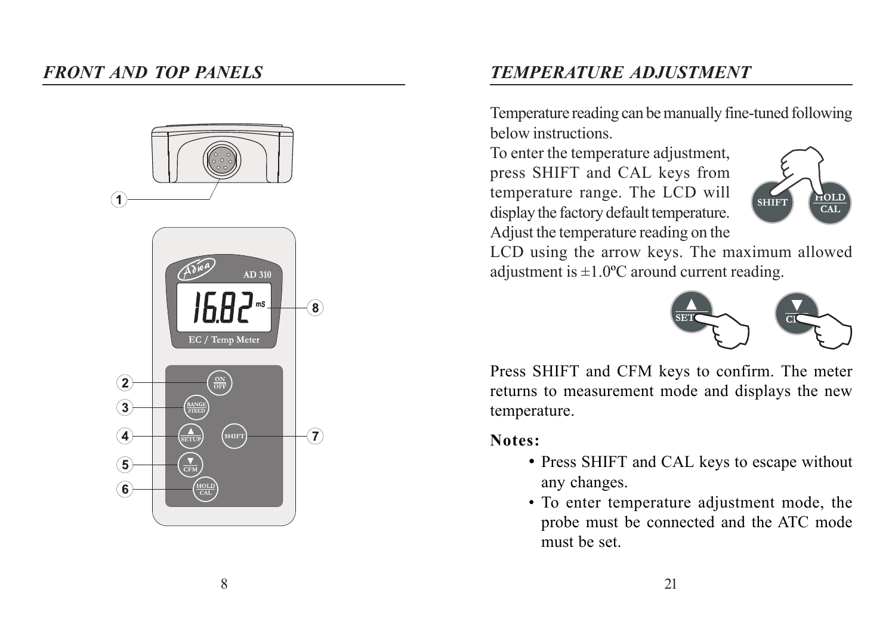### *FRONT AND TOP PANELS*



## *TEMPERATURE ADJUSTMENT*

Temperature reading can be manually fine-tuned following below instructions.

To enter the temperature adjustment, press SHIFT and CAL keys from temperature range. The LCD will display the factory default temperature. Adjust the temperature reading on the



LCD using the arrow keys. The maximum allowed adjustment is  $\pm 1.0$ °C around current reading.



Press SHIFT and CFM keys to confirm. The meter returns to measurement mode and displays the new temperature.

#### **Notes:**

- Press SHIFT and CAL keys to escape without any changes.
- To enter temperature adjustment mode, the probe must be connected and the ATC mode must be set.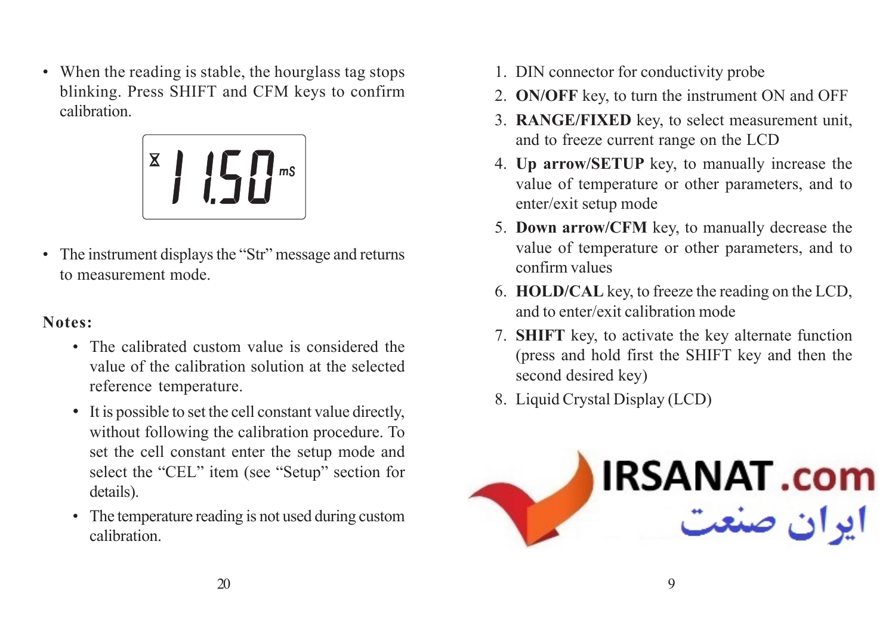• When the reading is stable, the hourglass tag stops blinking. Press SHIFT and CFM keys to confirm calibration.



• The instrument displays the "Str" message and returns to measurement mode.

#### **Notes:**

- The calibrated custom value is considered the value of the calibration solution at the selected reference temperature.
- It is possible to set the cell constant value directly, without following the calibration procedure. To set the cell constant enter the setup mode and select the "CEL" item (see "Setup" section for details).
- The temperature reading is not used during custom calibration.
- 1. DIN connector for conductivity probe
- 2. **ON/OFF** key, to turn the instrument ON and OFF
- 3. **RANGE/FIXED** key, to select measurement unit, and to freeze current range on the LCD
- 4. **Up arrow/SETUP** key, to manually increase the value of temperature or other parameters, and to enter/exit setup mode
- 5. **Down arrow/CFM** key, to manually decrease the value of temperature or other parameters, and to confirm values
- 6. **HOLD/CAL** key, to freeze the reading on the LCD, and to enter/exit calibration mode
- 7. **SHIFT** key, to activate the key alternate function (press and hold first the SHIFT key and then the second desired key)
- 8. Liquid Crystal Display (LCD)

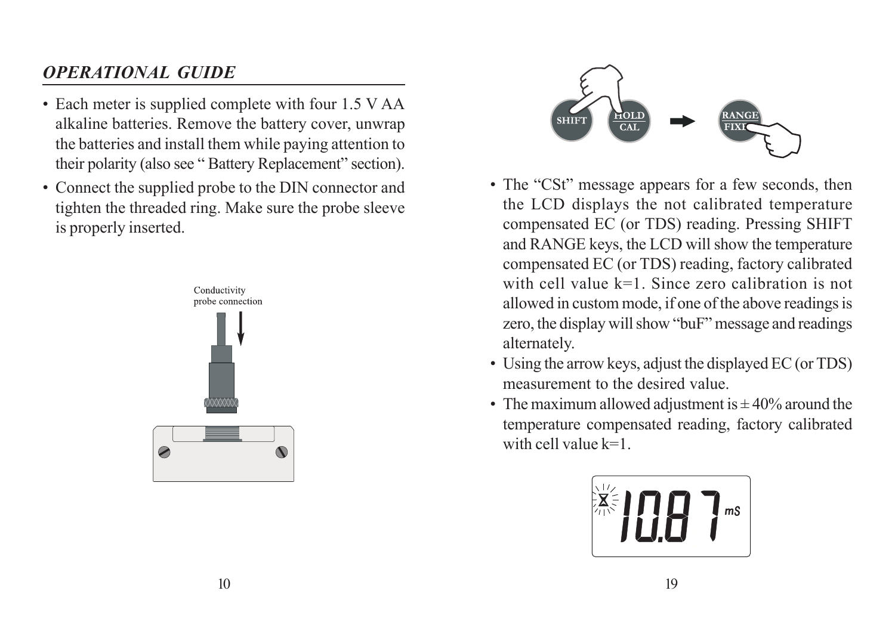# *OPERATIONAL GUIDE*

- Each meter is supplied complete with four 1.5 V AA alkaline batteries. Remove the battery cover, unwrap the batteries and install them while paying attention to their polarity (also see " Battery Replacement" section).
- Connect the supplied probe to the DIN connector and tighten the threaded ring. Make sure the probe sleeve is properly inserted.





- The "CSt" message appears for a few seconds, then the LCD displays the not calibrated temperature compensated EC (or TDS) reading. Pressing SHIFT and RANGE keys, the LCD will show the temperature compensated EC (or TDS) reading, factory calibrated with cell value k=1. Since zero calibration is not allowed in custom mode, if one of the above readings is zero, the display will show "buF" message and readings alternately.
- Using the arrow keys, adjust the displayed EC (or TDS) measurement to the desired value.
- The maximum allowed adjustment is  $\pm$  40% around the temperature compensated reading, factory calibrated with cell value  $k=1$ .

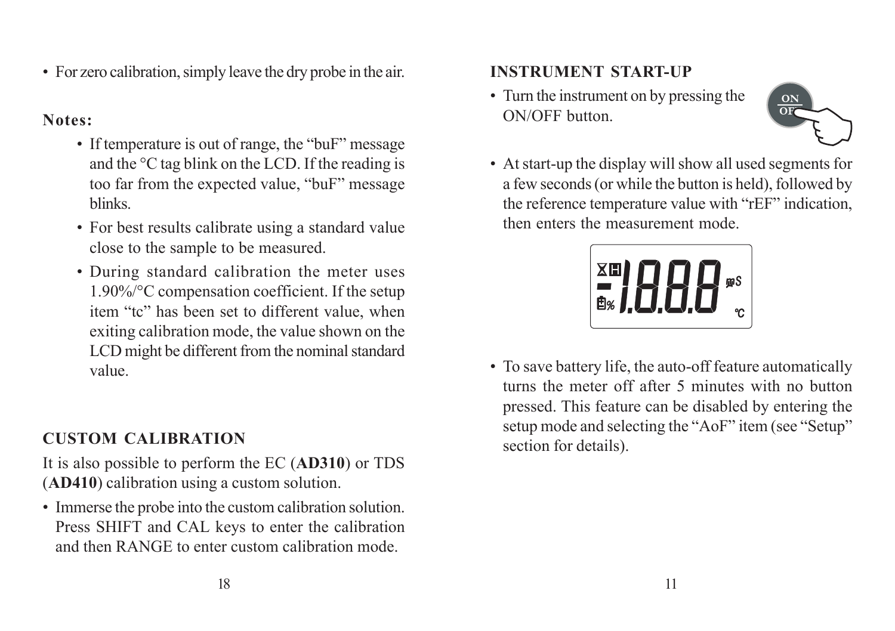• For zero calibration, simply leave the dry probe in the air.

### **Notes:**

- If temperature is out of range, the "buF" message and the °C tag blink on the LCD. If the reading is too far from the expected value, "buF" message blinks.
- For best results calibrate using a standard value close to the sample to be measured.
- During standard calibration the meter uses 1.90%/°C compensation coefficient. If the setup item "tc" has been set to different value, when exiting calibration mode, the value shown on the LCD might be different from the nominal standard value.

## **CUSTOM CALIBRATION**

It is also possible to perform the EC (**AD310**) or TDS (**AD410**) calibration using a custom solution.

• Immerse the probe into the custom calibration solution. Press SHIFT and CAL keys to enter the calibration and then RANGE to enter custom calibration mode.

### **INSTRUMENT START-UP**

• Turn the instrument on by pressing the ON/OFF button.



• At start-up the display will show all used segments for a few seconds (or while the button is held), followed by the reference temperature value with "rEF" indication, then enters the measurement mode.



• To save battery life, the auto-off feature automatically turns the meter off after 5 minutes with no button pressed. This feature can be disabled by entering the setup mode and selecting the "AoF" item (see "Setup" section for details).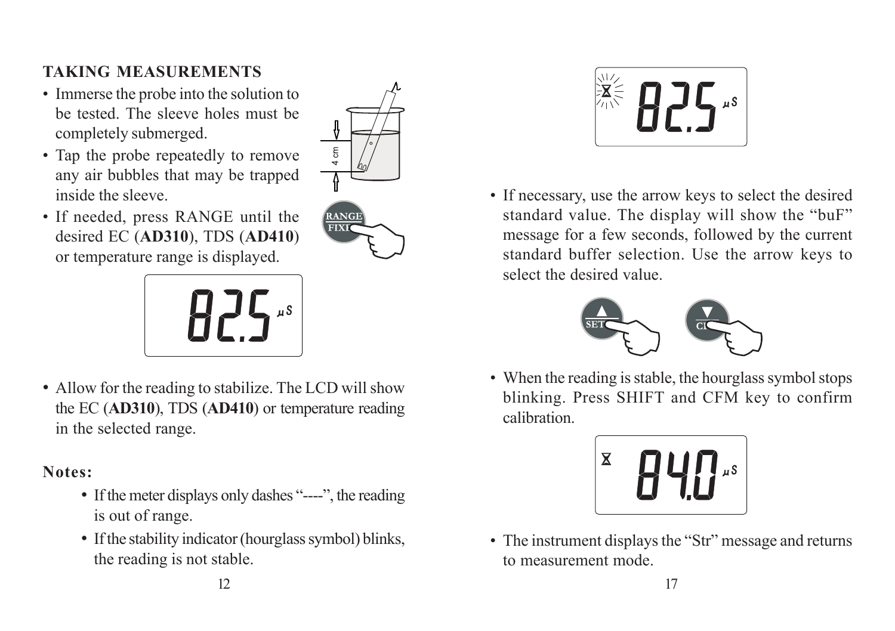## **TAKING MEASUREMENTS**

- Immerse the probe into the solution to be tested. The sleeve holes must be completely submerged.
- Tap the probe repeatedly to remove any air bubbles that may be trapped inside the sleeve.
- If needed, press RANGE until the desired EC (**AD310**), TDS (**AD410**) or temperature range is displayed.



• Allow for the reading to stabilize. The LCD will show the EC (**AD310**), TDS (**AD410**) or temperature reading in the selected range.

### **Notes:**

- If the meter displays only dashes "----", the reading is out of range.
- If the stability indicator (hourglass symbol) blinks, the reading is not stable.



• If necessary, use the arrow keys to select the desired standard value. The display will show the "buF" message for a few seconds, followed by the current standard buffer selection. Use the arrow keys to select the desired value.



• When the reading is stable, the hourglass symbol stops blinking. Press SHIFT and CFM key to confirm calibration.



• The instrument displays the "Str" message and returns to measurement mode.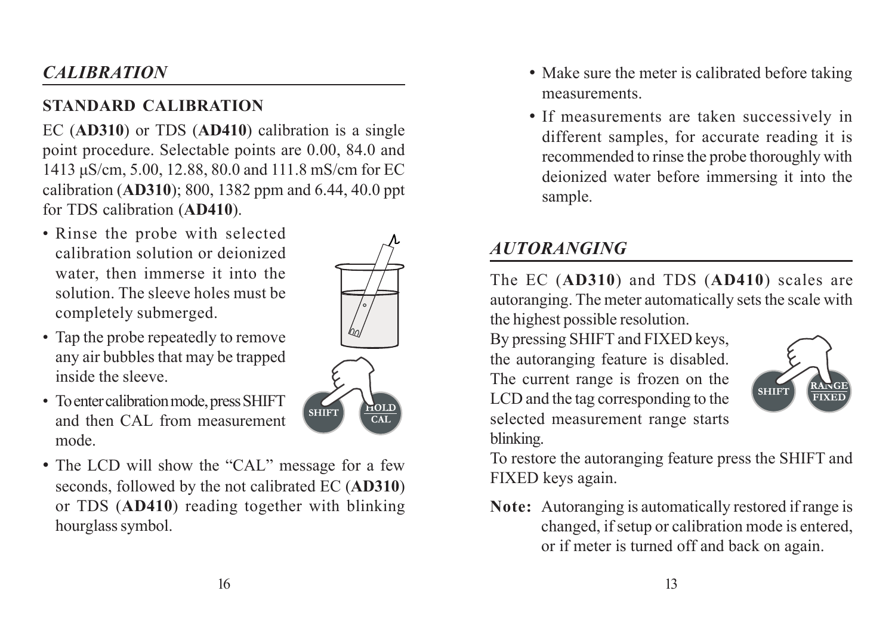# *CALIBRATION*

## **STANDARD CALIBRATION**

EC (**AD310**) or TDS (**AD410**) calibration is a single point procedure. Selectable points are 0.00, 84.0 and 1413 μS/cm, 5.00, 12.88, 80.0 and 111.8 mS/cm for EC calibration (**AD310**); 800, 1382 ppm and 6.44, 40.0 ppt for TDS calibration (**AD410**).

• Rinse the probe with selected calibration solution or deionized water, then immerse it into the solution. The sleeve holes must be completely submerged.



- To enter calibration mode, press SHIFT and then CAL from measurement mode.
- The LCD will show the "CAL" message for a few seconds, followed by the not calibrated EC (**AD310**) or TDS (**AD410**) reading together with blinking hourglass symbol.



 $\overline{\text{CAT}}$ 

- Make sure the meter is calibrated before taking measurements.
- If measurements are taken successively in different samples, for accurate reading it is recommended to rinse the probe thoroughly with deionized water before immersing it into the sample.

## *AUTORANGING*

The EC (**AD310**) and TDS (**AD410**) scales are autoranging. The meter automatically sets the scale with the highest possible resolution.

By pressing SHIFT and FIXED keys, the autoranging feature is disabled. The current range is frozen on the LCD and the tag corresponding to the selected measurement range starts blinking.



To restore the autoranging feature press the SHIFT and FIXED keys again.

**Note:** Autoranging is automatically restored if range is changed, if setup or calibration mode is entered, or if meter is turned off and back on again.